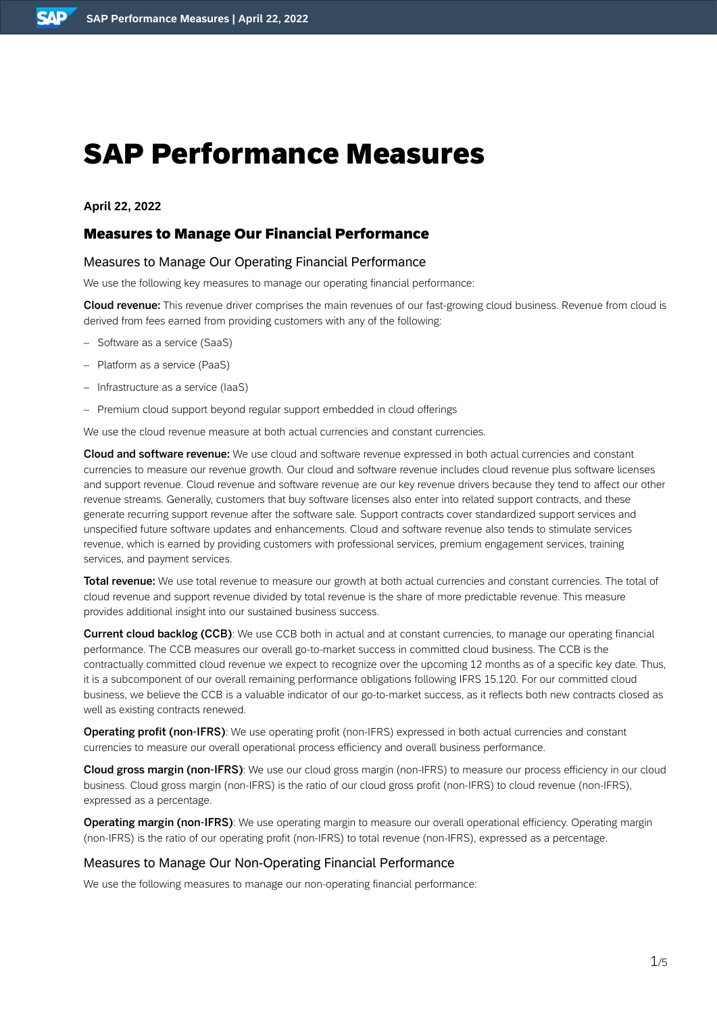# SAP Performance Measures

**April 22, 2022**

# Measures to Manage Our Financial Performance

## Measures to Manage Our Operating Financial Performance

We use the following key measures to manage our operating financial performance:

Cloud revenue: This revenue driver comprises the main revenues of our fast-growing cloud business. Revenue from cloud is derived from fees earned from providing customers with any of the following:

- Software as a service (SaaS)
- Platform as a service (PaaS)
- Infrastructure as a service (IaaS)
- Premium cloud support beyond regular support embedded in cloud offerings

We use the cloud revenue measure at both actual currencies and constant currencies.

Cloud and software revenue: We use cloud and software revenue expressed in both actual currencies and constant currencies to measure our revenue growth. Our cloud and software revenue includes cloud revenue plus software licenses and support revenue. Cloud revenue and software revenue are our key revenue drivers because they tend to affect our other revenue streams. Generally, customers that buy software licenses also enter into related support contracts, and these generate recurring support revenue after the software sale. Support contracts cover standardized support services and unspecified future software updates and enhancements. Cloud and software revenue also tends to stimulate services revenue, which is earned by providing customers with professional services, premium engagement services, training services, and payment services.

Total revenue: We use total revenue to measure our growth at both actual currencies and constant currencies. The total of cloud revenue and support revenue divided by total revenue is the share of more predictable revenue. This measure provides additional insight into our sustained business success.

Current cloud backlog (CCB): We use CCB both in actual and at constant currencies, to manage our operating financial performance. The CCB measures our overall go-to-market success in committed cloud business. The CCB is the contractually committed cloud revenue we expect to recognize over the upcoming 12 months as of a specific key date. Thus, it is a subcomponent of our overall remaining performance obligations following IFRS 15.120. For our committed cloud business, we believe the CCB is a valuable indicator of our go-to-market success, as it reflects both new contracts closed as well as existing contracts renewed.

**Operating profit (non-IFRS)**: We use operating profit (non-IFRS) expressed in both actual currencies and constant currencies to measure our overall operational process efficiency and overall business performance.

Cloud gross margin (non-IFRS): We use our cloud gross margin (non-IFRS) to measure our process efficiency in our cloud business. Cloud gross margin (non-IFRS) is the ratio of our cloud gross profit (non-IFRS) to cloud revenue (non-IFRS), expressed as a percentage.

Operating margin (non-IFRS): We use operating margin to measure our overall operational efficiency. Operating margin (non-IFRS) is the ratio of our operating profit (non-IFRS) to total revenue (non-IFRS), expressed as a percentage.

#### Measures to Manage Our Non-Operating Financial Performance

We use the following measures to manage our non-operating financial performance: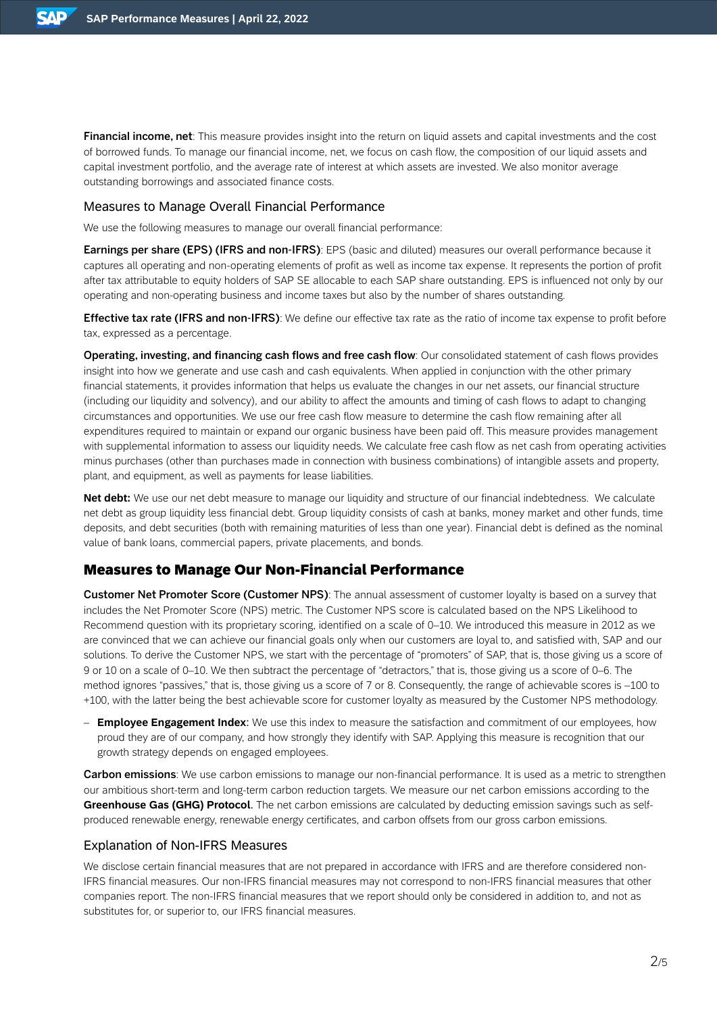Financial income, net: This measure provides insight into the return on liquid assets and capital investments and the cost of borrowed funds. To manage our financial income, net, we focus on cash flow, the composition of our liquid assets and capital investment portfolio, and the average rate of interest at which assets are invested. We also monitor average outstanding borrowings and associated finance costs.

#### Measures to Manage Overall Financial Performance

We use the following measures to manage our overall financial performance:

**Earnings per share (EPS) (IFRS and non-IFRS)**: EPS (basic and diluted) measures our overall performance because it captures all operating and non-operating elements of profit as well as income tax expense. It represents the portion of profit after tax attributable to equity holders of SAP SE allocable to each SAP share outstanding. EPS is influenced not only by our operating and non-operating business and income taxes but also by the number of shares outstanding.

**Effective tax rate (IFRS and non-IFRS)**: We define our effective tax rate as the ratio of income tax expense to profit before tax, expressed as a percentage.

Operating, investing, and financing cash flows and free cash flow: Our consolidated statement of cash flows provides insight into how we generate and use cash and cash equivalents. When applied in conjunction with the other primary financial statements, it provides information that helps us evaluate the changes in our net assets, our financial structure (including our liquidity and solvency), and our ability to affect the amounts and timing of cash flows to adapt to changing circumstances and opportunities. We use our free cash flow measure to determine the cash flow remaining after all expenditures required to maintain or expand our organic business have been paid off. This measure provides management with supplemental information to assess our liquidity needs. We calculate free cash flow as net cash from operating activities minus purchases (other than purchases made in connection with business combinations) of intangible assets and property, plant, and equipment, as well as payments for lease liabilities.

**Net debt:** We use our net debt measure to manage our liquidity and structure of our financial indebtedness. We calculate net debt as group liquidity less financial debt. Group liquidity consists of cash at banks, money market and other funds, time deposits, and debt securities (both with remaining maturities of less than one year). Financial debt is defined as the nominal value of bank loans, commercial papers, private placements, and bonds.

# Measures to Manage Our Non-Financial Performance

Customer Net Promoter Score (Customer NPS): The annual assessment of customer loyalty is based on a survey that includes the Net Promoter Score (NPS) metric. The Customer NPS score is calculated based on the NPS Likelihood to Recommend question with its proprietary scoring, identified on a scale of 0–10. We introduced this measure in 2012 as we are convinced that we can achieve our financial goals only when our customers are loyal to, and satisfied with, SAP and our solutions. To derive the Customer NPS, we start with the percentage of "promoters" of SAP, that is, those giving us a score of 9 or 10 on a scale of 0–10. We then subtract the percentage of "detractors," that is, those giving us a score of 0–6. The method ignores "passives," that is, those giving us a score of 7 or 8. Consequently, the range of achievable scores is –100 to +100, with the latter being the best achievable score for customer loyalty as measured by the Customer NPS methodology.

– **Employee Engagement Index**: We use this index to measure the satisfaction and commitment of our employees, how proud they are of our company, and how strongly they identify with SAP. Applying this measure is recognition that our growth strategy depends on engaged employees.

**Carbon emissions**: We use carbon emissions to manage our non-financial performance. It is used as a metric to strengthen our ambitious short-term and long-term carbon reduction targets. We measure our net carbon emissions according to the **Greenhouse Gas (GHG) Protocol**. The net carbon emissions are calculated by deducting emission savings such as selfproduced renewable energy, renewable energy certificates, and carbon offsets from our gross carbon emissions.

## Explanation of Non-IFRS Measures

We disclose certain financial measures that are not prepared in accordance with IFRS and are therefore considered non-IFRS financial measures. Our non-IFRS financial measures may not correspond to non-IFRS financial measures that other companies report. The non-IFRS financial measures that we report should only be considered in addition to, and not as substitutes for, or superior to, our IFRS financial measures.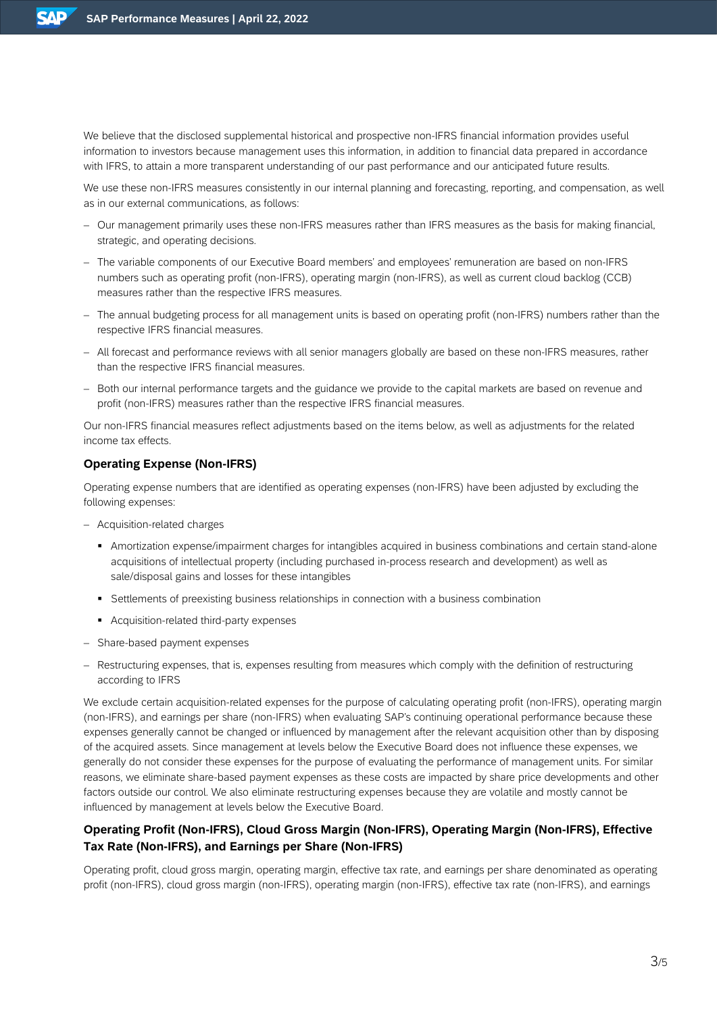We believe that the disclosed supplemental historical and prospective non-IFRS financial information provides useful information to investors because management uses this information, in addition to financial data prepared in accordance with IFRS, to attain a more transparent understanding of our past performance and our anticipated future results.

We use these non-IFRS measures consistently in our internal planning and forecasting, reporting, and compensation, as well as in our external communications, as follows:

- Our management primarily uses these non-IFRS measures rather than IFRS measures as the basis for making financial, strategic, and operating decisions.
- The variable components of our Executive Board members' and employees' remuneration are based on non-IFRS numbers such as operating profit (non-IFRS), operating margin (non-IFRS), as well as current cloud backlog (CCB) measures rather than the respective IFRS measures.
- The annual budgeting process for all management units is based on operating profit (non-IFRS) numbers rather than the respective IFRS financial measures.
- All forecast and performance reviews with all senior managers globally are based on these non-IFRS measures, rather than the respective IFRS financial measures.
- Both our internal performance targets and the guidance we provide to the capital markets are based on revenue and profit (non-IFRS) measures rather than the respective IFRS financial measures.

Our non-IFRS financial measures reflect adjustments based on the items below, as well as adjustments for the related income tax effects.

## **Operating Expense (Non-IFRS)**

Operating expense numbers that are identified as operating expenses (non-IFRS) have been adjusted by excluding the following expenses:

- Acquisition-related charges
	- Amortization expense/impairment charges for intangibles acquired in business combinations and certain stand-alone acquisitions of intellectual property (including purchased in-process research and development) as well as sale/disposal gains and losses for these intangibles
	- **EXECTEDENT Settlements of preexisting business relationships in connection with a business combination**
	- Acquisition-related third-party expenses
- Share-based payment expenses
- Restructuring expenses, that is, expenses resulting from measures which comply with the definition of restructuring according to IFRS

We exclude certain acquisition-related expenses for the purpose of calculating operating profit (non-IFRS), operating margin (non-IFRS), and earnings per share (non-IFRS) when evaluating SAP's continuing operational performance because these expenses generally cannot be changed or influenced by management after the relevant acquisition other than by disposing of the acquired assets. Since management at levels below the Executive Board does not influence these expenses, we generally do not consider these expenses for the purpose of evaluating the performance of management units. For similar reasons, we eliminate share-based payment expenses as these costs are impacted by share price developments and other factors outside our control. We also eliminate restructuring expenses because they are volatile and mostly cannot be influenced by management at levels below the Executive Board.

# **Operating Profit (Non-IFRS), Cloud Gross Margin (Non-IFRS), Operating Margin (Non-IFRS), Effective Tax Rate (Non-IFRS), and Earnings per Share (Non-IFRS)**

Operating profit, cloud gross margin, operating margin, effective tax rate, and earnings per share denominated as operating profit (non-IFRS), cloud gross margin (non-IFRS), operating margin (non-IFRS), effective tax rate (non-IFRS), and earnings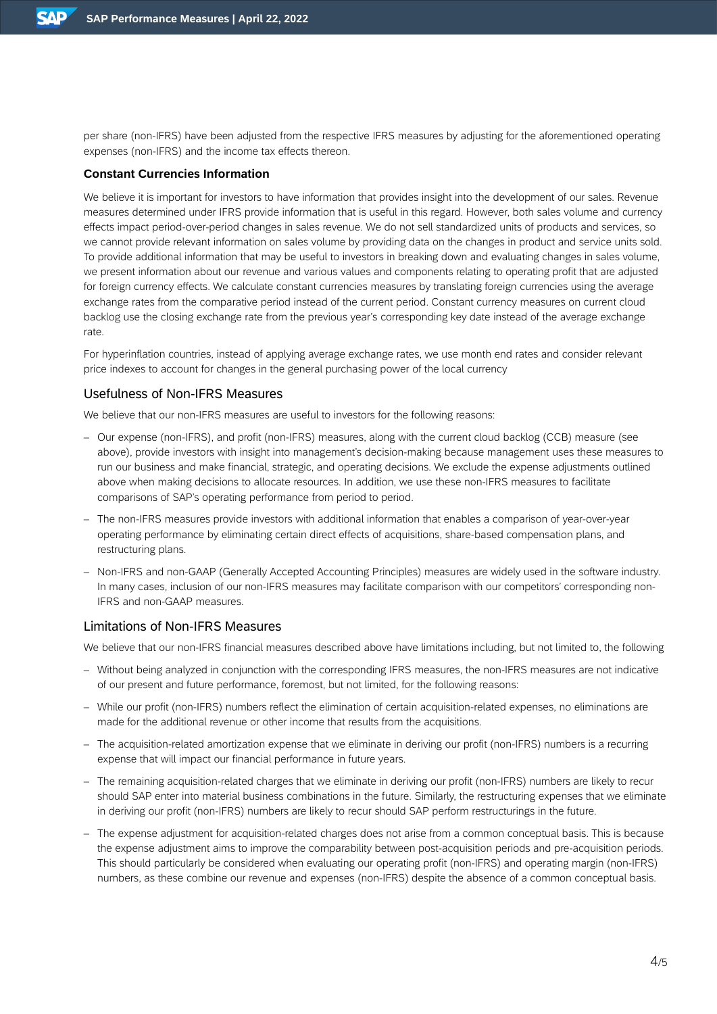per share (non-IFRS) have been adjusted from the respective IFRS measures by adjusting for the aforementioned operating expenses (non-IFRS) and the income tax effects thereon.

# **Constant Currencies Information**

We believe it is important for investors to have information that provides insight into the development of our sales. Revenue measures determined under IFRS provide information that is useful in this regard. However, both sales volume and currency effects impact period-over-period changes in sales revenue. We do not sell standardized units of products and services, so we cannot provide relevant information on sales volume by providing data on the changes in product and service units sold. To provide additional information that may be useful to investors in breaking down and evaluating changes in sales volume, we present information about our revenue and various values and components relating to operating profit that are adjusted for foreign currency effects. We calculate constant currencies measures by translating foreign currencies using the average exchange rates from the comparative period instead of the current period. Constant currency measures on current cloud backlog use the closing exchange rate from the previous year's corresponding key date instead of the average exchange rate.

For hyperinflation countries, instead of applying average exchange rates, we use month end rates and consider relevant price indexes to account for changes in the general purchasing power of the local currency

#### Usefulness of Non-IFRS Measures

We believe that our non-IFRS measures are useful to investors for the following reasons:

- Our expense (non-IFRS), and profit (non-IFRS) measures, along with the current cloud backlog (CCB) measure (see above), provide investors with insight into management's decision-making because management uses these measures to run our business and make financial, strategic, and operating decisions. We exclude the expense adjustments outlined above when making decisions to allocate resources. In addition, we use these non-IFRS measures to facilitate comparisons of SAP's operating performance from period to period.
- The non-IFRS measures provide investors with additional information that enables a comparison of year-over-year operating performance by eliminating certain direct effects of acquisitions, share-based compensation plans, and restructuring plans.
- Non-IFRS and non-GAAP (Generally Accepted Accounting Principles) measures are widely used in the software industry. In many cases, inclusion of our non-IFRS measures may facilitate comparison with our competitors' corresponding non-IFRS and non-GAAP measures.

## Limitations of Non-IFRS Measures

We believe that our non-IFRS financial measures described above have limitations including, but not limited to, the following

- Without being analyzed in conjunction with the corresponding IFRS measures, the non-IFRS measures are not indicative of our present and future performance, foremost, but not limited, for the following reasons:
- While our profit (non-IFRS) numbers reflect the elimination of certain acquisition-related expenses, no eliminations are made for the additional revenue or other income that results from the acquisitions.
- The acquisition-related amortization expense that we eliminate in deriving our profit (non-IFRS) numbers is a recurring expense that will impact our financial performance in future years.
- The remaining acquisition-related charges that we eliminate in deriving our profit (non-IFRS) numbers are likely to recur should SAP enter into material business combinations in the future. Similarly, the restructuring expenses that we eliminate in deriving our profit (non-IFRS) numbers are likely to recur should SAP perform restructurings in the future.
- The expense adjustment for acquisition-related charges does not arise from a common conceptual basis. This is because the expense adjustment aims to improve the comparability between post-acquisition periods and pre-acquisition periods. This should particularly be considered when evaluating our operating profit (non-IFRS) and operating margin (non-IFRS) numbers, as these combine our revenue and expenses (non-IFRS) despite the absence of a common conceptual basis.